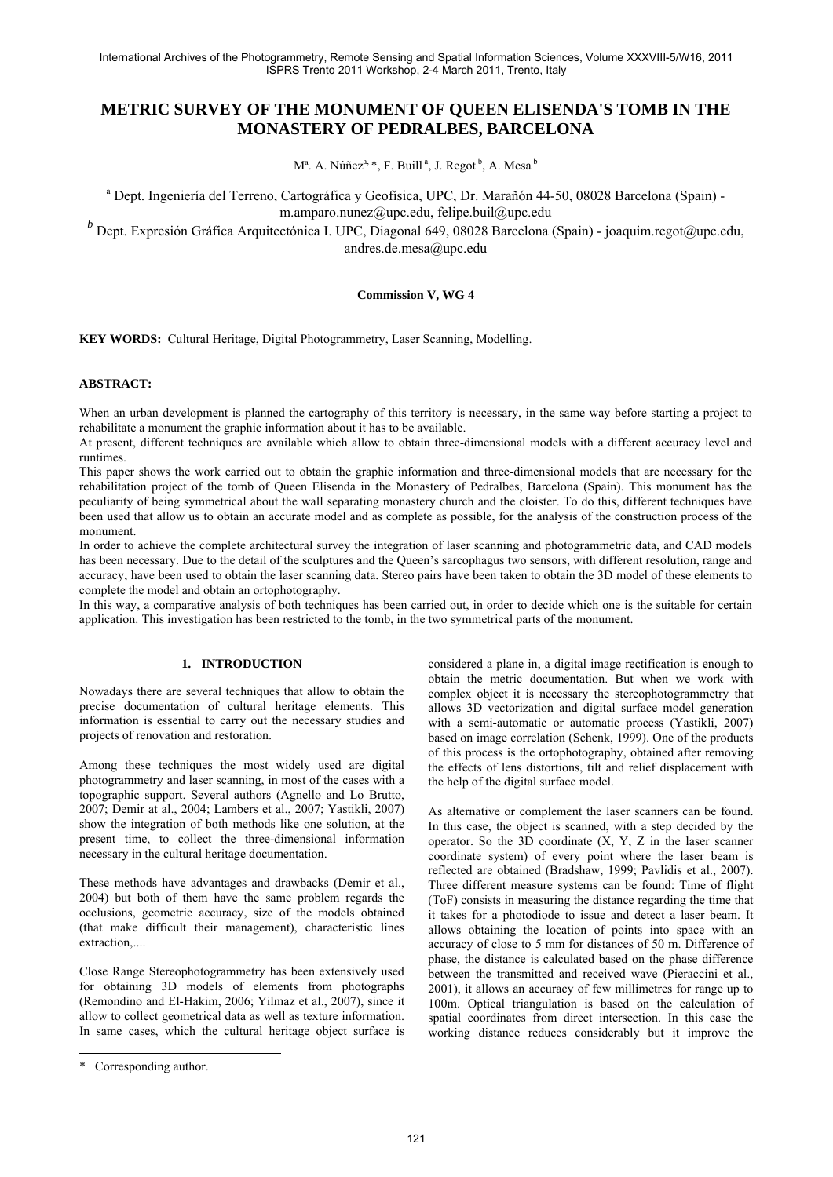# **METRIC SURVEY OF THE MONUMENT OF QUEEN ELISENDA'S TOMB IN THE MONASTERY OF PEDRALBES, BARCELONA**

 $M^a$ . A. Núñez<sup>a, \*</sup>, F. Buill<sup>a</sup>, J. Regot<sup>b</sup>, A. Mesa<sup>b</sup>

<sup>a</sup> Dept. Ingeniería del Terreno, Cartográfica y Geofísica, UPC, Dr. Marañón 44-50, 08028 Barcelona (Spain) m.amparo.nunez@upc.edu, felipe.buil@upc.edu

*b*<br>
Dept. Expresión Gráfica Arquitectónica I. UPC, Diagonal 649, 08028 Barcelona (Spain) - joaquim.regot@upc.edu, andres.de.mesa@upc.edu

### **Commission V, WG 4**

**KEY WORDS:** Cultural Heritage, Digital Photogrammetry, Laser Scanning, Modelling.

### **ABSTRACT:**

When an urban development is planned the cartography of this territory is necessary, in the same way before starting a project to rehabilitate a monument the graphic information about it has to be available.

At present, different techniques are available which allow to obtain three-dimensional models with a different accuracy level and runtimes.

This paper shows the work carried out to obtain the graphic information and three-dimensional models that are necessary for the rehabilitation project of the tomb of Queen Elisenda in the Monastery of Pedralbes, Barcelona (Spain). This monument has the peculiarity of being symmetrical about the wall separating monastery church and the cloister. To do this, different techniques have been used that allow us to obtain an accurate model and as complete as possible, for the analysis of the construction process of the monument.

In order to achieve the complete architectural survey the integration of laser scanning and photogrammetric data, and CAD models has been necessary. Due to the detail of the sculptures and the Queen's sarcophagus two sensors, with different resolution, range and accuracy, have been used to obtain the laser scanning data. Stereo pairs have been taken to obtain the 3D model of these elements to complete the model and obtain an ortophotography.

In this way, a comparative analysis of both techniques has been carried out, in order to decide which one is the suitable for certain application. This investigation has been restricted to the tomb, in the two symmetrical parts of the monument.

# **1. INTRODUCTION**

Nowadays there are several techniques that allow to obtain the precise documentation of cultural heritage elements. This information is essential to carry out the necessary studies and projects of renovation and restoration.

Among these techniques the most widely used are digital photogrammetry and laser scanning, in most of the cases with a topographic support. Several authors (Agnello and Lo Brutto, 2007; Demir at al., 2004; Lambers et al., 2007; Yastikli, 2007) show the integration of both methods like one solution, at the present time, to collect the three-dimensional information necessary in the cultural heritage documentation.

These methods have advantages and drawbacks (Demir et al., 2004) but both of them have the same problem regards the occlusions, geometric accuracy, size of the models obtained (that make difficult their management), characteristic lines extraction,....

Close Range Stereophotogrammetry has been extensively used for obtaining 3D models of elements from photographs (Remondino and El-Hakim, 2006; Yilmaz et al., 2007), since it allow to collect geometrical data as well as texture information. In same cases, which the cultural heritage object surface is

l

considered a plane in, a digital image rectification is enough to obtain the metric documentation. But when we work with complex object it is necessary the stereophotogrammetry that allows 3D vectorization and digital surface model generation with a semi-automatic or automatic process (Yastikli, 2007) based on image correlation (Schenk, 1999). One of the products of this process is the ortophotography, obtained after removing the effects of lens distortions, tilt and relief displacement with the help of the digital surface model.

As alternative or complement the laser scanners can be found. In this case, the object is scanned, with a step decided by the operator. So the 3D coordinate (X, Y, Z in the laser scanner coordinate system) of every point where the laser beam is reflected are obtained (Bradshaw, 1999; Pavlidis et al., 2007). Three different measure systems can be found: Time of flight (ToF) consists in measuring the distance regarding the time that it takes for a photodiode to issue and detect a laser beam. It allows obtaining the location of points into space with an accuracy of close to 5 mm for distances of 50 m. Difference of phase, the distance is calculated based on the phase difference between the transmitted and received wave (Pieraccini et al., 2001), it allows an accuracy of few millimetres for range up to 100m. Optical triangulation is based on the calculation of spatial coordinates from direct intersection. In this case the working distance reduces considerably but it improve the

<sup>\*</sup> Corresponding author.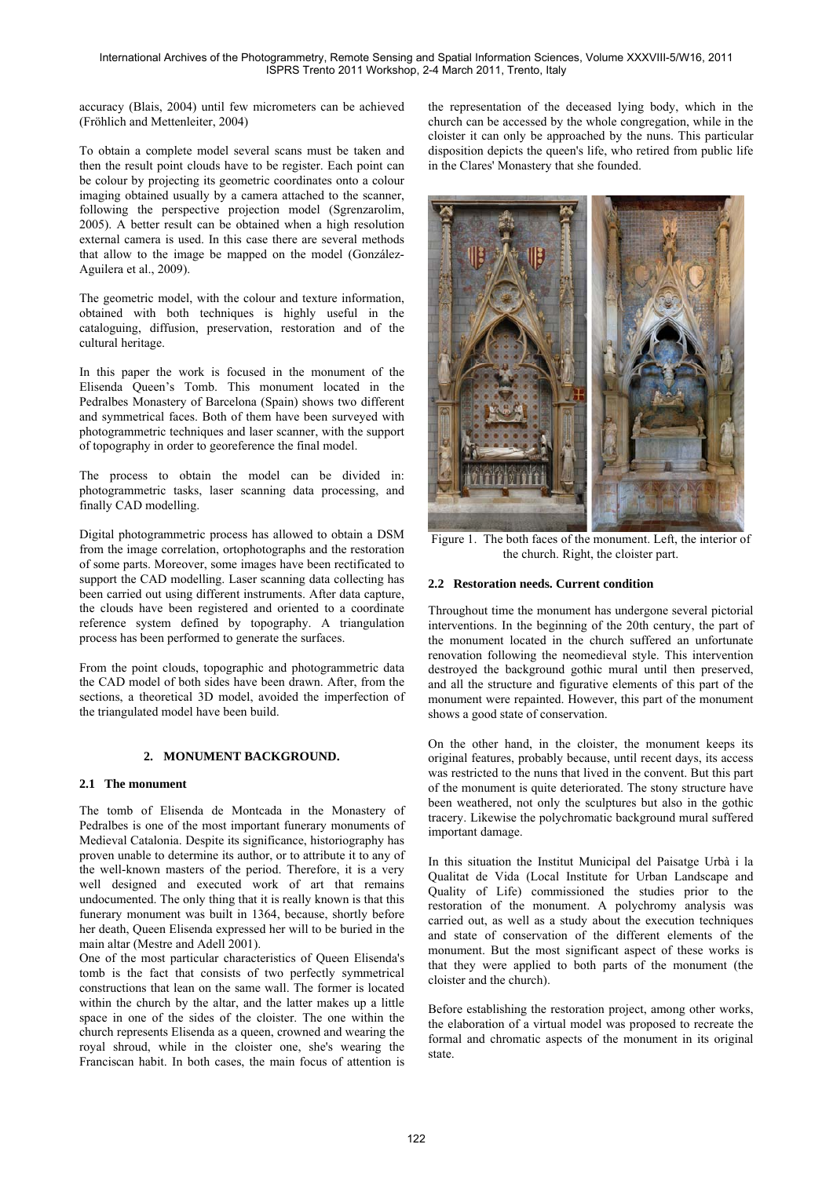accuracy (Blais, 2004) until few micrometers can be achieved (Fröhlich and Mettenleiter, 2004)

To obtain a complete model several scans must be taken and then the result point clouds have to be register. Each point can be colour by projecting its geometric coordinates onto a colour imaging obtained usually by a camera attached to the scanner, following the perspective projection model (Sgrenzarolim, 2005). A better result can be obtained when a high resolution external camera is used. In this case there are several methods that allow to the image be mapped on the model (González-Aguilera et al., 2009).

The geometric model, with the colour and texture information, obtained with both techniques is highly useful in the cataloguing, diffusion, preservation, restoration and of the cultural heritage.

In this paper the work is focused in the monument of the Elisenda Queen's Tomb. This monument located in the Pedralbes Monastery of Barcelona (Spain) shows two different and symmetrical faces. Both of them have been surveyed with photogrammetric techniques and laser scanner, with the support of topography in order to georeference the final model.

The process to obtain the model can be divided in: photogrammetric tasks, laser scanning data processing, and finally CAD modelling.

Digital photogrammetric process has allowed to obtain a DSM from the image correlation, ortophotographs and the restoration of some parts. Moreover, some images have been rectificated to support the CAD modelling. Laser scanning data collecting has been carried out using different instruments. After data capture, the clouds have been registered and oriented to a coordinate reference system defined by topography. A triangulation process has been performed to generate the surfaces.

From the point clouds, topographic and photogrammetric data the CAD model of both sides have been drawn. After, from the sections, a theoretical 3D model, avoided the imperfection of the triangulated model have been build.

# **2. MONUMENT BACKGROUND.**

### **2.1 The monument**

The tomb of Elisenda de Montcada in the Monastery of Pedralbes is one of the most important funerary monuments of Medieval Catalonia. Despite its significance, historiography has proven unable to determine its author, or to attribute it to any of the well-known masters of the period. Therefore, it is a very well designed and executed work of art that remains undocumented. The only thing that it is really known is that this funerary monument was built in 1364, because, shortly before her death, Queen Elisenda expressed her will to be buried in the main altar (Mestre and Adell 2001).

One of the most particular characteristics of Queen Elisenda's tomb is the fact that consists of two perfectly symmetrical constructions that lean on the same wall. The former is located within the church by the altar, and the latter makes up a little space in one of the sides of the cloister. The one within the church represents Elisenda as a queen, crowned and wearing the royal shroud, while in the cloister one, she's wearing the Franciscan habit. In both cases, the main focus of attention is the representation of the deceased lying body, which in the church can be accessed by the whole congregation, while in the cloister it can only be approached by the nuns. This particular disposition depicts the queen's life, who retired from public life in the Clares' Monastery that she founded.



Figure 1. The both faces of the monument. Left, the interior of the church. Right, the cloister part.

# **2.2 Restoration needs. Current condition**

Throughout time the monument has undergone several pictorial interventions. In the beginning of the 20th century, the part of the monument located in the church suffered an unfortunate renovation following the neomedieval style. This intervention destroyed the background gothic mural until then preserved, and all the structure and figurative elements of this part of the monument were repainted. However, this part of the monument shows a good state of conservation.

On the other hand, in the cloister, the monument keeps its original features, probably because, until recent days, its access was restricted to the nuns that lived in the convent. But this part of the monument is quite deteriorated. The stony structure have been weathered, not only the sculptures but also in the gothic tracery. Likewise the polychromatic background mural suffered important damage.

In this situation the Institut Municipal del Paisatge Urbà i la Qualitat de Vida (Local Institute for Urban Landscape and Quality of Life) commissioned the studies prior to the restoration of the monument. A polychromy analysis was carried out, as well as a study about the execution techniques and state of conservation of the different elements of the monument. But the most significant aspect of these works is that they were applied to both parts of the monument (the cloister and the church).

Before establishing the restoration project, among other works, the elaboration of a virtual model was proposed to recreate the formal and chromatic aspects of the monument in its original state.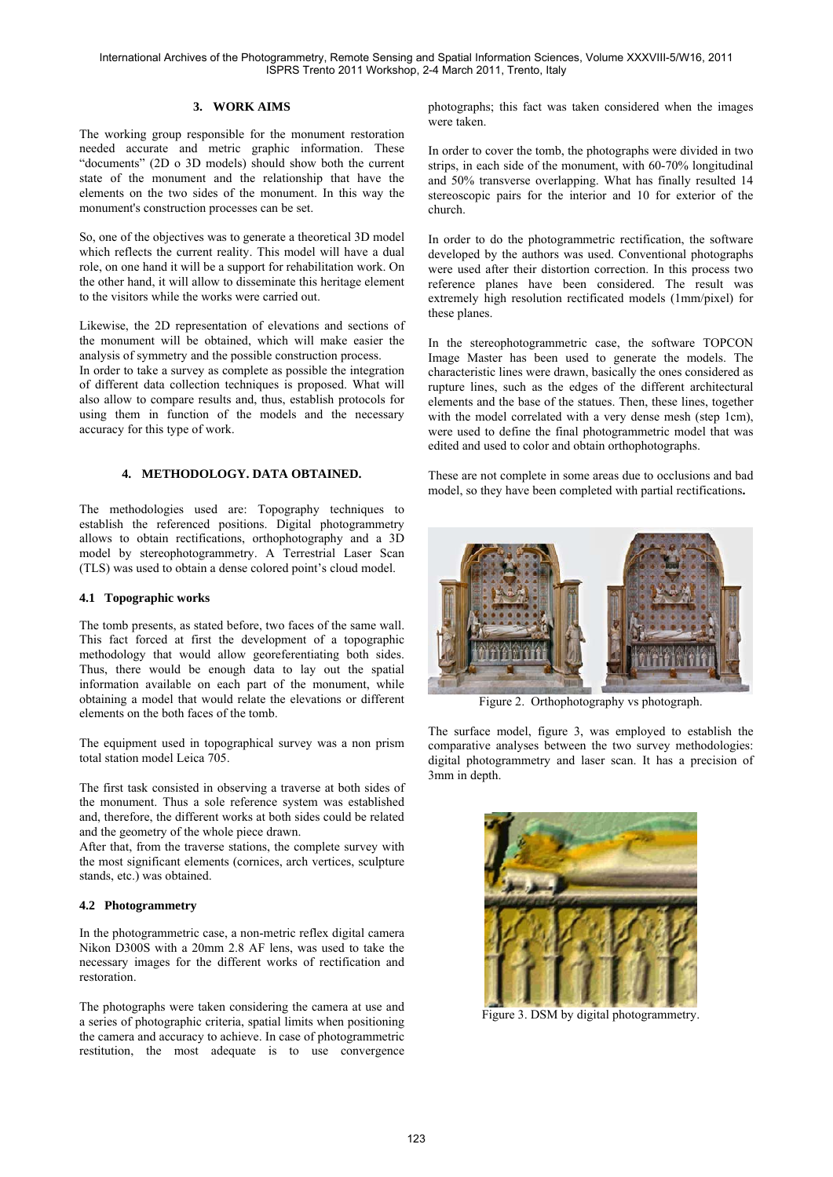### **3. WORK AIMS**

The working group responsible for the monument restoration needed accurate and metric graphic information. These "documents" (2D o 3D models) should show both the current state of the monument and the relationship that have the elements on the two sides of the monument. In this way the monument's construction processes can be set.

So, one of the objectives was to generate a theoretical 3D model which reflects the current reality. This model will have a dual role, on one hand it will be a support for rehabilitation work. On the other hand, it will allow to disseminate this heritage element to the visitors while the works were carried out.

Likewise, the 2D representation of elevations and sections of the monument will be obtained, which will make easier the analysis of symmetry and the possible construction process.

In order to take a survey as complete as possible the integration of different data collection techniques is proposed. What will also allow to compare results and, thus, establish protocols for using them in function of the models and the necessary accuracy for this type of work.

### **4. METHODOLOGY. DATA OBTAINED.**

The methodologies used are: Topography techniques to establish the referenced positions. Digital photogrammetry allows to obtain rectifications, orthophotography and a 3D model by stereophotogrammetry. A Terrestrial Laser Scan (TLS) was used to obtain a dense colored point's cloud model.

#### **4.1 Topographic works**

The tomb presents, as stated before, two faces of the same wall. This fact forced at first the development of a topographic methodology that would allow georeferentiating both sides. Thus, there would be enough data to lay out the spatial information available on each part of the monument, while obtaining a model that would relate the elevations or different elements on the both faces of the tomb.

The equipment used in topographical survey was a non prism total station model Leica 705.

The first task consisted in observing a traverse at both sides of the monument. Thus a sole reference system was established and, therefore, the different works at both sides could be related and the geometry of the whole piece drawn.

After that, from the traverse stations, the complete survey with the most significant elements (cornices, arch vertices, sculpture stands, etc.) was obtained.

#### **4.2 Photogrammetry**

In the photogrammetric case, a non-metric reflex digital camera Nikon D300S with a 20mm 2.8 AF lens, was used to take the necessary images for the different works of rectification and restoration.

The photographs were taken considering the camera at use and a series of photographic criteria, spatial limits when positioning the camera and accuracy to achieve. In case of photogrammetric restitution, the most adequate is to use convergence

photographs; this fact was taken considered when the images were taken.

In order to cover the tomb, the photographs were divided in two strips, in each side of the monument, with 60-70% longitudinal and 50% transverse overlapping. What has finally resulted 14 stereoscopic pairs for the interior and 10 for exterior of the church.

In order to do the photogrammetric rectification, the software developed by the authors was used. Conventional photographs were used after their distortion correction. In this process two reference planes have been considered. The result was extremely high resolution rectificated models (1mm/pixel) for these planes.

In the stereophotogrammetric case, the software TOPCON Image Master has been used to generate the models. The characteristic lines were drawn, basically the ones considered as rupture lines, such as the edges of the different architectural elements and the base of the statues. Then, these lines, together with the model correlated with a very dense mesh (step 1cm), were used to define the final photogrammetric model that was edited and used to color and obtain orthophotographs.

These are not complete in some areas due to occlusions and bad model, so they have been completed with partial rectifications**.** 



Figure 2. Orthophotography vs photograph.

The surface model, figure 3, was employed to establish the comparative analyses between the two survey methodologies: digital photogrammetry and laser scan. It has a precision of 3mm in depth.



Figure 3. DSM by digital photogrammetry.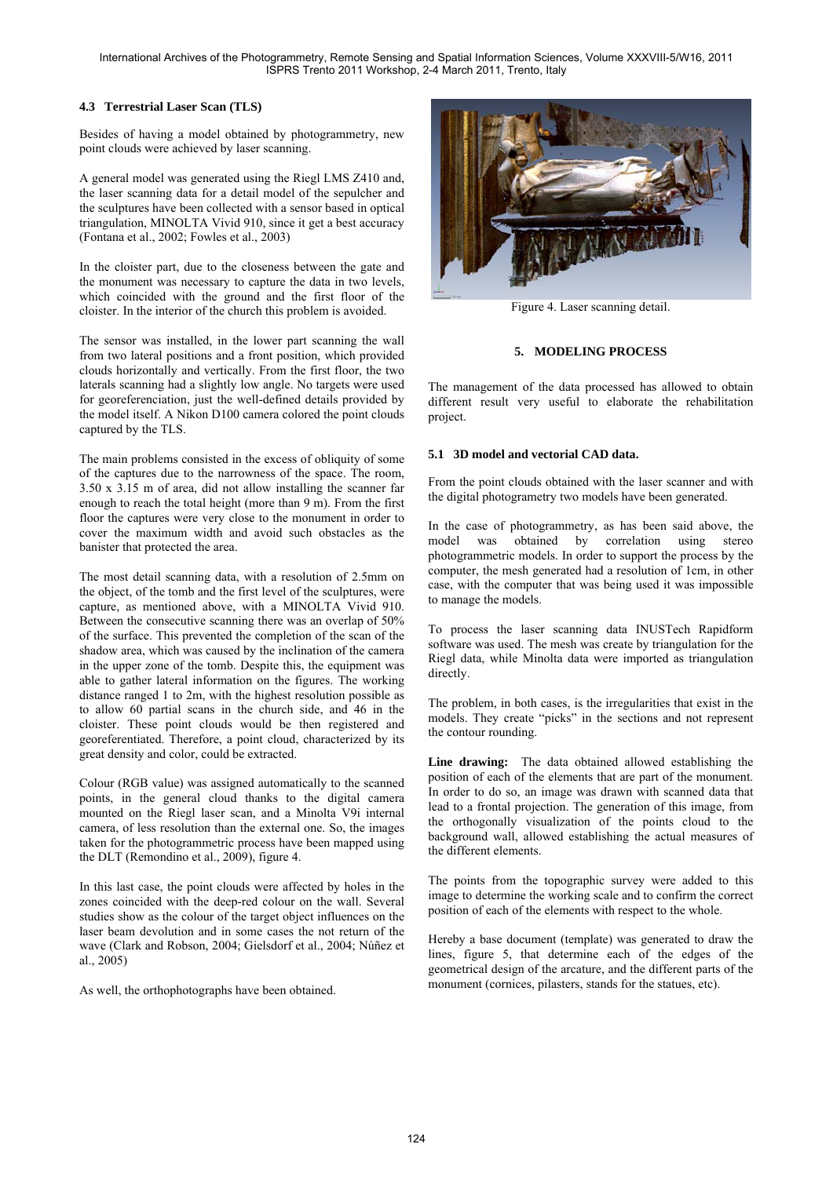# **4.3 Terrestrial Laser Scan (TLS)**

Besides of having a model obtained by photogrammetry, new point clouds were achieved by laser scanning.

A general model was generated using the Riegl LMS Z410 and, the laser scanning data for a detail model of the sepulcher and the sculptures have been collected with a sensor based in optical triangulation, MINOLTA Vivid 910, since it get a best accuracy (Fontana et al., 2002; Fowles et al., 2003)

In the cloister part, due to the closeness between the gate and the monument was necessary to capture the data in two levels, which coincided with the ground and the first floor of the cloister. In the interior of the church this problem is avoided.

The sensor was installed, in the lower part scanning the wall from two lateral positions and a front position, which provided clouds horizontally and vertically. From the first floor, the two laterals scanning had a slightly low angle. No targets were used for georeferenciation, just the well-defined details provided by the model itself. A Nikon D100 camera colored the point clouds captured by the TLS.

The main problems consisted in the excess of obliquity of some of the captures due to the narrowness of the space. The room, 3.50 x 3.15 m of area, did not allow installing the scanner far enough to reach the total height (more than 9 m). From the first floor the captures were very close to the monument in order to cover the maximum width and avoid such obstacles as the banister that protected the area.

The most detail scanning data, with a resolution of 2.5mm on the object, of the tomb and the first level of the sculptures, were capture, as mentioned above, with a MINOLTA Vivid 910. Between the consecutive scanning there was an overlap of 50% of the surface. This prevented the completion of the scan of the shadow area, which was caused by the inclination of the camera in the upper zone of the tomb. Despite this, the equipment was able to gather lateral information on the figures. The working distance ranged 1 to 2m, with the highest resolution possible as to allow 60 partial scans in the church side, and 46 in the cloister. These point clouds would be then registered and georeferentiated. Therefore, a point cloud, characterized by its great density and color, could be extracted.

Colour (RGB value) was assigned automatically to the scanned points, in the general cloud thanks to the digital camera mounted on the Riegl laser scan, and a Minolta V9i internal camera, of less resolution than the external one. So, the images taken for the photogrammetric process have been mapped using the DLT (Remondino et al., 2009), figure 4.

In this last case, the point clouds were affected by holes in the zones coincided with the deep-red colour on the wall. Several studies show as the colour of the target object influences on the laser beam devolution and in some cases the not return of the wave (Clark and Robson, 2004; Gielsdorf et al., 2004; Núñez et al., 2005)

As well, the orthophotographs have been obtained.



Figure 4. Laser scanning detail.

# **5. MODELING PROCESS**

The management of the data processed has allowed to obtain different result very useful to elaborate the rehabilitation project.

# **5.1 3D model and vectorial CAD data.**

From the point clouds obtained with the laser scanner and with the digital photogrametry two models have been generated.

In the case of photogrammetry, as has been said above, the model was obtained by correlation using stereo photogrammetric models. In order to support the process by the computer, the mesh generated had a resolution of 1cm, in other case, with the computer that was being used it was impossible to manage the models.

To process the laser scanning data INUSTech Rapidform software was used. The mesh was create by triangulation for the Riegl data, while Minolta data were imported as triangulation directly.

The problem, in both cases, is the irregularities that exist in the models. They create "picks" in the sections and not represent the contour rounding.

**Line drawing:** The data obtained allowed establishing the position of each of the elements that are part of the monument. In order to do so, an image was drawn with scanned data that lead to a frontal projection. The generation of this image, from the orthogonally visualization of the points cloud to the background wall, allowed establishing the actual measures of the different elements.

The points from the topographic survey were added to this image to determine the working scale and to confirm the correct position of each of the elements with respect to the whole.

Hereby a base document (template) was generated to draw the lines, figure 5, that determine each of the edges of the geometrical design of the arcature, and the different parts of the monument (cornices, pilasters, stands for the statues, etc).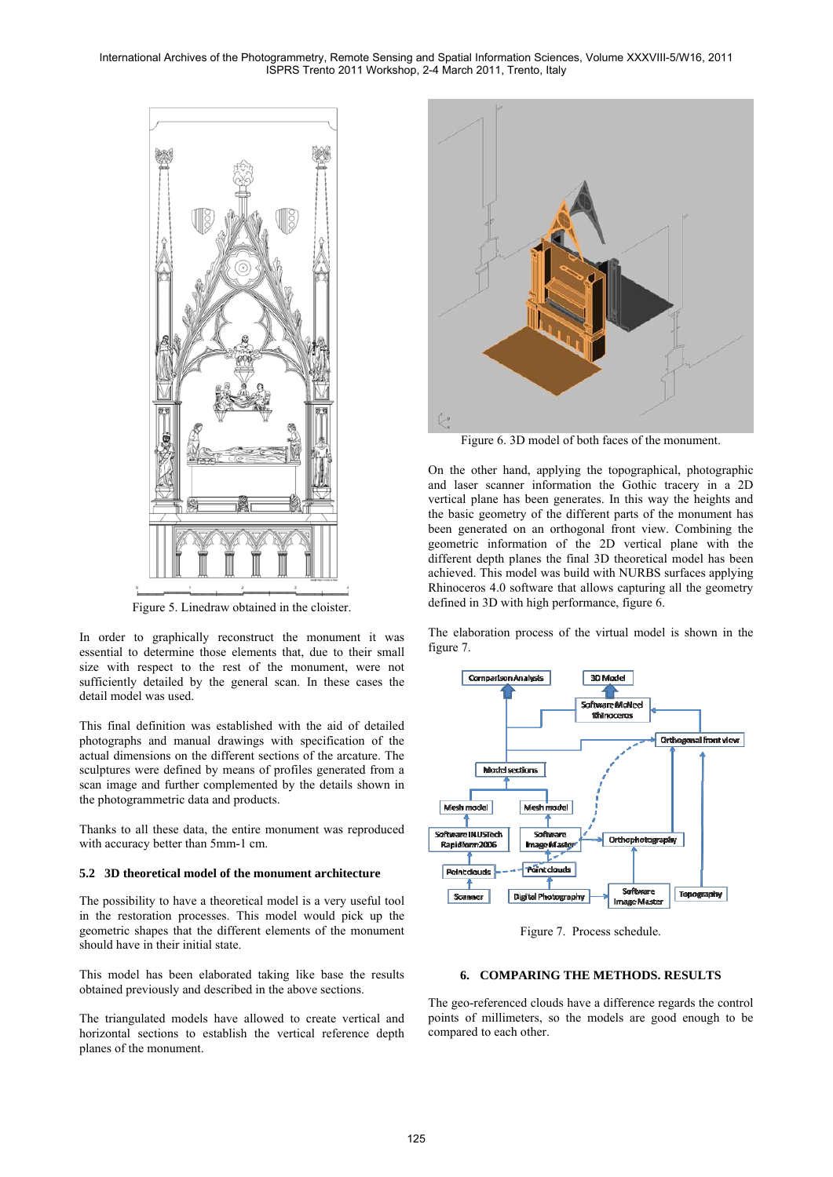

Figure 5. Linedraw obtained in the cloister.

In order to graphically reconstruct the monument it was essential to determine those elements that, due to their small size with respect to the rest of the monument, were not sufficiently detailed by the general scan. In these cases the detail model was used.

This final definition was established with the aid of detailed photographs and manual drawings with specification of the actual dimensions on the different sections of the arcature. The sculptures were defined by means of profiles generated from a scan image and further complemented by the details shown in the photogrammetric data and products.

Thanks to all these data, the entire monument was reproduced with accuracy better than 5mm-1 cm.

#### **5.2 3D theoretical model of the monument architecture**

The possibility to have a theoretical model is a very useful tool in the restoration processes. This model would pick up the geometric shapes that the different elements of the monument should have in their initial state.

This model has been elaborated taking like base the results obtained previously and described in the above sections.

The triangulated models have allowed to create vertical and horizontal sections to establish the vertical reference depth planes of the monument.



Figure 6. 3D model of both faces of the monument.

On the other hand, applying the topographical, photographic and laser scanner information the Gothic tracery in a 2D vertical plane has been generates. In this way the heights and the basic geometry of the different parts of the monument has been generated on an orthogonal front view. Combining the geometric information of the 2D vertical plane with the different depth planes the final 3D theoretical model has been achieved. This model was build with NURBS surfaces applying Rhinoceros 4.0 software that allows capturing all the geometry defined in 3D with high performance, figure 6.

The elaboration process of the virtual model is shown in the figure 7.



Figure 7. Process schedule.

### **6. COMPARING THE METHODS. RESULTS**

The geo-referenced clouds have a difference regards the control points of millimeters, so the models are good enough to be compared to each other.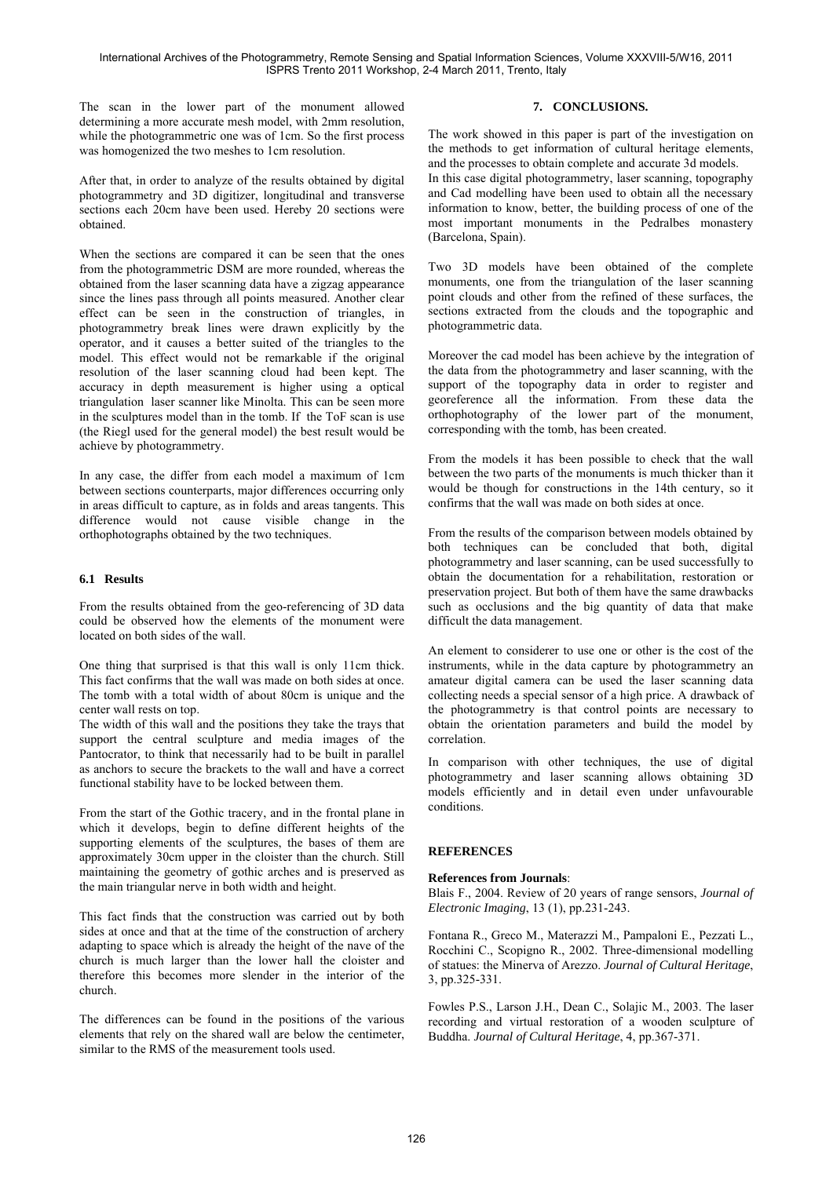The scan in the lower part of the monument allowed determining a more accurate mesh model, with 2mm resolution, while the photogrammetric one was of 1cm. So the first process was homogenized the two meshes to 1cm resolution.

After that, in order to analyze of the results obtained by digital photogrammetry and 3D digitizer, longitudinal and transverse sections each 20cm have been used. Hereby 20 sections were obtained.

When the sections are compared it can be seen that the ones from the photogrammetric DSM are more rounded, whereas the obtained from the laser scanning data have a zigzag appearance since the lines pass through all points measured. Another clear effect can be seen in the construction of triangles, in photogrammetry break lines were drawn explicitly by the operator, and it causes a better suited of the triangles to the model. This effect would not be remarkable if the original resolution of the laser scanning cloud had been kept. The accuracy in depth measurement is higher using a optical triangulation laser scanner like Minolta. This can be seen more in the sculptures model than in the tomb. If the ToF scan is use (the Riegl used for the general model) the best result would be achieve by photogrammetry.

In any case, the differ from each model a maximum of 1cm between sections counterparts, major differences occurring only in areas difficult to capture, as in folds and areas tangents. This difference would not cause visible change in the orthophotographs obtained by the two techniques.

# **6.1 Results**

From the results obtained from the geo-referencing of 3D data could be observed how the elements of the monument were located on both sides of the wall.

One thing that surprised is that this wall is only 11cm thick. This fact confirms that the wall was made on both sides at once. The tomb with a total width of about 80cm is unique and the center wall rests on top.

The width of this wall and the positions they take the trays that support the central sculpture and media images of the Pantocrator, to think that necessarily had to be built in parallel as anchors to secure the brackets to the wall and have a correct functional stability have to be locked between them.

From the start of the Gothic tracery, and in the frontal plane in which it develops, begin to define different heights of the supporting elements of the sculptures, the bases of them are approximately 30cm upper in the cloister than the church. Still maintaining the geometry of gothic arches and is preserved as the main triangular nerve in both width and height.

This fact finds that the construction was carried out by both sides at once and that at the time of the construction of archery adapting to space which is already the height of the nave of the church is much larger than the lower hall the cloister and therefore this becomes more slender in the interior of the church.

The differences can be found in the positions of the various elements that rely on the shared wall are below the centimeter, similar to the RMS of the measurement tools used.

# **7. CONCLUSIONS.**

The work showed in this paper is part of the investigation on the methods to get information of cultural heritage elements, and the processes to obtain complete and accurate 3d models.

In this case digital photogrammetry, laser scanning, topography and Cad modelling have been used to obtain all the necessary information to know, better, the building process of one of the most important monuments in the Pedralbes monastery (Barcelona, Spain).

Two 3D models have been obtained of the complete monuments, one from the triangulation of the laser scanning point clouds and other from the refined of these surfaces, the sections extracted from the clouds and the topographic and photogrammetric data.

Moreover the cad model has been achieve by the integration of the data from the photogrammetry and laser scanning, with the support of the topography data in order to register and georeference all the information. From these data the orthophotography of the lower part of the monument, corresponding with the tomb, has been created.

From the models it has been possible to check that the wall between the two parts of the monuments is much thicker than it would be though for constructions in the 14th century, so it confirms that the wall was made on both sides at once.

From the results of the comparison between models obtained by both techniques can be concluded that both, digital photogrammetry and laser scanning, can be used successfully to obtain the documentation for a rehabilitation, restoration or preservation project. But both of them have the same drawbacks such as occlusions and the big quantity of data that make difficult the data management.

An element to considerer to use one or other is the cost of the instruments, while in the data capture by photogrammetry an amateur digital camera can be used the laser scanning data collecting needs a special sensor of a high price. A drawback of the photogrammetry is that control points are necessary to obtain the orientation parameters and build the model by correlation.

In comparison with other techniques, the use of digital photogrammetry and laser scanning allows obtaining 3D models efficiently and in detail even under unfavourable conditions.

# **REFERENCES**

# **References from Journals**:

Blais F., 2004. Review of 20 years of range sensors, *Journal of Electronic Imaging*, 13 (1), pp.231-243.

Fontana R., Greco M., Materazzi M., Pampaloni E., Pezzati L., Rocchini C., Scopigno R., 2002. Three-dimensional modelling of statues: the Minerva of Arezzo. *Journal of Cultural Heritage*, 3, pp.325-331.

Fowles P.S., Larson J.H., Dean C., Solajic M., 2003. The laser recording and virtual restoration of a wooden sculpture of Buddha. *Journal of Cultural Heritage*, 4, pp.367-371.